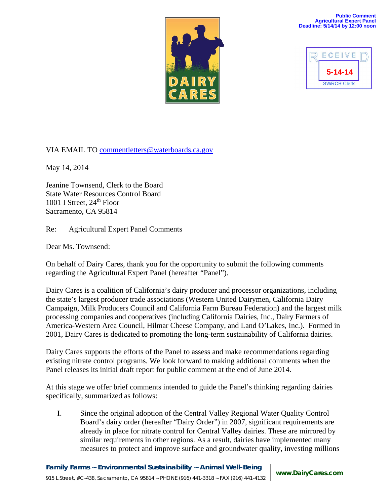

## **Public Comment Agricultural Expert Panel Deadline: 5/14/14 by 12:00 noon**



VIA EMAIL TO [commentletters@waterboards.ca.gov](mailto:commentletters@waterboards.ca.gov)

May 14, 2014

Jeanine Townsend, Clerk to the Board State Water Resources Control Board 1001 I Street,  $24<sup>th</sup>$  Floor Sacramento, CA 95814

Re: Agricultural Expert Panel Comments

Dear Ms. Townsend:

On behalf of Dairy Cares, thank you for the opportunity to submit the following comments regarding the Agricultural Expert Panel (hereafter "Panel").

Dairy Cares is a coalition of California's dairy producer and processor organizations, including the state's largest producer trade associations (Western United Dairymen, California Dairy Campaign, Milk Producers Council and California Farm Bureau Federation) and the largest milk processing companies and cooperatives (including California Dairies, Inc., Dairy Farmers of America-Western Area Council, Hilmar Cheese Company, and Land O'Lakes, Inc*.*). Formed in 2001, Dairy Cares is dedicated to promoting the long-term sustainability of California dairies.

Dairy Cares supports the efforts of the Panel to assess and make recommendations regarding existing nitrate control programs. We look forward to making additional comments when the Panel releases its initial draft report for public comment at the end of June 2014.

At this stage we offer brief comments intended to guide the Panel's thinking regarding dairies specifically, summarized as follows:

I. Since the original adoption of the Central Valley Regional Water Quality Control Board's dairy order (hereafter "Dairy Order") in 2007, significant requirements are already in place for nitrate control for Central Valley dairies. These are mirrored by similar requirements in other regions. As a result, dairies have implemented many measures to protect and improve surface and groundwater quality, investing millions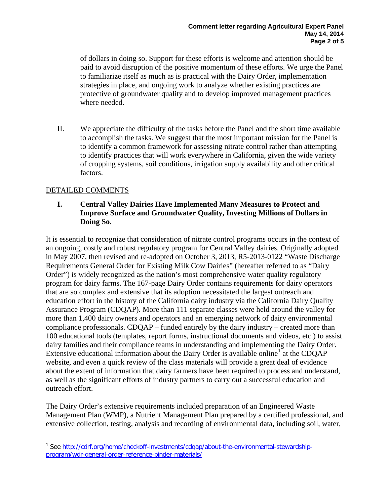of dollars in doing so. Support for these efforts is welcome and attention should be paid to avoid disruption of the positive momentum of these efforts. We urge the Panel to familiarize itself as much as is practical with the Dairy Order, implementation strategies in place, and ongoing work to analyze whether existing practices are protective of groundwater quality and to develop improved management practices where needed.

II. We appreciate the difficulty of the tasks before the Panel and the short time available to accomplish the tasks. We suggest that the most important mission for the Panel is to identify a common framework for assessing nitrate control rather than attempting to identify practices that will work everywhere in California, given the wide variety of cropping systems, soil conditions, irrigation supply availability and other critical factors.

## DETAILED COMMENTS

## **I. Central Valley Dairies Have Implemented Many Measures to Protect and Improve Surface and Groundwater Quality, Investing Millions of Dollars in Doing So.**

It is essential to recognize that consideration of nitrate control programs occurs in the context of an ongoing, costly and robust regulatory program for Central Valley dairies. Originally adopted in May 2007, then revised and re-adopted on October 3, 2013, R5-2013-0122 "Waste Discharge Requirements General Order for Existing Milk Cow Dairies" (hereafter referred to as "Dairy Order") is widely recognized as the nation's most comprehensive water quality regulatory program for dairy farms. The 167-page Dairy Order contains requirements for dairy operators that are so complex and extensive that its adoption necessitated the largest outreach and education effort in the history of the California dairy industry via the California Dairy Quality Assurance Program (CDQAP). More than 111 separate classes were held around the valley for more than 1,400 dairy owners and operators and an emerging network of dairy environmental compliance professionals. CDQAP – funded entirely by the dairy industry – created more than 100 educational tools (templates, report forms, instructional documents and videos, etc.) to assist dairy families and their compliance teams in understanding and implementing the Dairy Order. Extensive educational information about the Dairy Order is available online<sup>[1](#page-1-0)</sup> at the CDOAP website, and even a quick review of the class materials will provide a great deal of evidence about the extent of information that dairy farmers have been required to process and understand, as well as the significant efforts of industry partners to carry out a successful education and outreach effort.

The Dairy Order's extensive requirements included preparation of an Engineered Waste Management Plan (WMP), a Nutrient Management Plan prepared by a certified professional, and extensive collection, testing, analysis and recording of environmental data, including soil, water,

<span id="page-1-0"></span> $\overline{a}$ <sup>1</sup> See [http://cdrf.org/home/checkoff-investments/cdqap/about-the-environmental-stewardship](http://cdrf.org/home/checkoff-investments/cdqap/about-the-environmental-stewardship-program/wdr-general-order-reference-binder-materials/)[program/wdr-general-order-reference-binder-materials/](http://cdrf.org/home/checkoff-investments/cdqap/about-the-environmental-stewardship-program/wdr-general-order-reference-binder-materials/)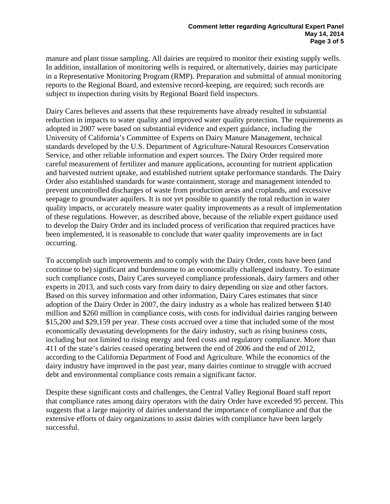manure and plant tissue sampling. All dairies are required to monitor their existing supply wells. In addition, installation of monitoring wells is required, or alternatively, dairies may participate in a Representative Monitoring Program (RMP). Preparation and submittal of annual monitoring reports to the Regional Board, and extensive record-keeping, are required; such records are subject to inspection during visits by Regional Board field inspectors.

Dairy Cares believes and asserts that these requirements have already resulted in substantial reduction in impacts to water quality and improved water quality protection. The requirements as adopted in 2007 were based on substantial evidence and expert guidance, including the University of California's Committee of Experts on Dairy Manure Management, technical standards developed by the U.S. Department of Agriculture-Natural Resources Conservation Service, and other reliable information and expert sources. The Dairy Order required more careful measurement of fertilizer and manure applications, accounting for nutrient application and harvested nutrient uptake, and established nutrient uptake performance standards. The Dairy Order also established standards for waste containment, storage and management intended to prevent uncontrolled discharges of waste from production areas and croplands, and excessive seepage to groundwater aquifers. It is not yet possible to quantify the total reduction in water quality impacts, or accurately measure water quality improvements as a result of implementation of these regulations. However, as described above, because of the reliable expert guidance used to develop the Dairy Order and its included process of verification that required practices have been implemented, it is reasonable to conclude that water quality improvements are in fact occurring.

To accomplish such improvements and to comply with the Dairy Order, costs have been (and continue to be) significant and burdensome to an economically challenged industry. To estimate such compliance costs, Dairy Cares surveyed compliance professionals, dairy farmers and other experts in 2013, and such costs vary from dairy to dairy depending on size and other factors. Based on this survey information and other information, Dairy Cares estimates that since adoption of the Dairy Order in 2007, the dairy industry as a whole has realized between \$140 million and \$260 million in compliance costs, with costs for individual dairies ranging between \$15,200 and \$29,159 per year. These costs accrued over a time that included some of the most economically devastating developments for the dairy industry, such as rising business costs, including but not limited to rising energy and feed costs and regulatory compliance. More than 411 of the state's dairies ceased operating between the end of 2006 and the end of 2012, according to the California Department of Food and Agriculture. While the economics of the dairy industry have improved in the past year, many dairies continue to struggle with accrued debt and environmental compliance costs remain a significant factor.

Despite these significant costs and challenges, the Central Valley Regional Board staff report that compliance rates among dairy operators with the dairy Order have exceeded 95 percent. This suggests that a large majority of dairies understand the importance of compliance and that the extensive efforts of dairy organizations to assist dairies with compliance have been largely successful.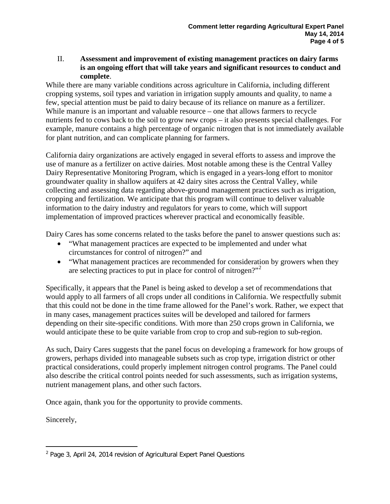## II. **Assessment and improvement of existing management practices on dairy farms is an ongoing effort that will take years and significant resources to conduct and complete**.

While there are many variable conditions across agriculture in California, including different cropping systems, soil types and variation in irrigation supply amounts and quality, to name a few, special attention must be paid to dairy because of its reliance on manure as a fertilizer. While manure is an important and valuable resource – one that allows farmers to recycle nutrients fed to cows back to the soil to grow new crops – it also presents special challenges. For example, manure contains a high percentage of organic nitrogen that is not immediately available for plant nutrition, and can complicate planning for farmers.

California dairy organizations are actively engaged in several efforts to assess and improve the use of manure as a fertilizer on active dairies. Most notable among these is the Central Valley Dairy Representative Monitoring Program, which is engaged in a years-long effort to monitor groundwater quality in shallow aquifers at 42 dairy sites across the Central Valley, while collecting and assessing data regarding above-ground management practices such as irrigation, cropping and fertilization. We anticipate that this program will continue to deliver valuable information to the dairy industry and regulators for years to come, which will support implementation of improved practices wherever practical and economically feasible.

Dairy Cares has some concerns related to the tasks before the panel to answer questions such as:

- "What management practices are expected to be implemented and under what circumstances for control of nitrogen?" and
- "What management practices are recommended for consideration by growers when they are selecting practices to put in place for control of nitrogen? $"$ <sup>[2](#page-3-0)</sup>

Specifically, it appears that the Panel is being asked to develop a set of recommendations that would apply to all farmers of all crops under all conditions in California. We respectfully submit that this could not be done in the time frame allowed for the Panel's work. Rather, we expect that in many cases, management practices suites will be developed and tailored for farmers depending on their site-specific conditions. With more than 250 crops grown in California, we would anticipate these to be quite variable from crop to crop and sub-region to sub-region.

As such, Dairy Cares suggests that the panel focus on developing a framework for how groups of growers, perhaps divided into manageable subsets such as crop type, irrigation district or other practical considerations, could properly implement nitrogen control programs. The Panel could also describe the critical control points needed for such assessments, such as irrigation systems, nutrient management plans, and other such factors.

Once again, thank you for the opportunity to provide comments.

Sincerely,

<span id="page-3-0"></span> $\overline{a}$ <sup>2</sup> Page 3, April 24, 2014 revision of Agricultural Expert Panel Questions